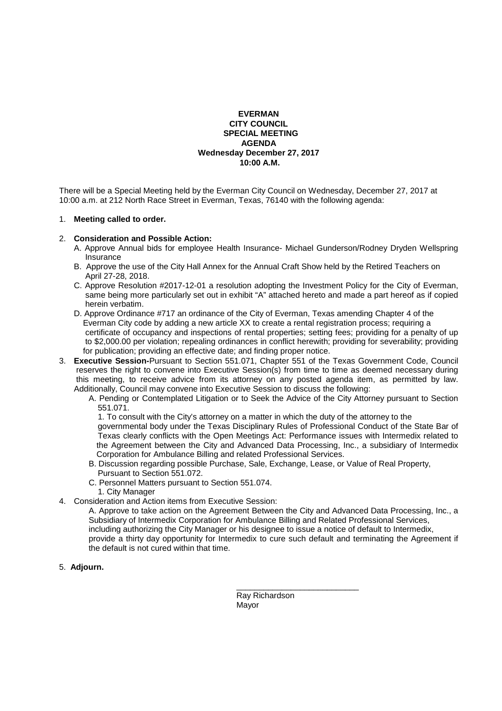## **EVERMAN CITY COUNCIL SPECIAL MEETING AGENDA Wednesday December 27, 2017 10:00 A.M.**

There will be a Special Meeting held by the Everman City Council on Wednesday, December 27, 2017 at 10:00 a.m. at 212 North Race Street in Everman, Texas, 76140 with the following agenda:

## 1. **Meeting called to order.**

## 2. **Consideration and Possible Action:**

- A. Approve Annual bids for employee Health Insurance- Michael Gunderson/Rodney Dryden Wellspring **Insurance**
- B. Approve the use of the City Hall Annex for the Annual Craft Show held by the Retired Teachers on April 27-28, 2018.
- C. Approve Resolution #2017-12-01 a resolution adopting the Investment Policy for the City of Everman, same being more particularly set out in exhibit "A" attached hereto and made a part hereof as if copied herein verbatim.
- D. Approve Ordinance #717 an ordinance of the City of Everman, Texas amending Chapter 4 of the Everman City code by adding a new article XX to create a rental registration process; requiring a certificate of occupancy and inspections of rental properties; setting fees; providing for a penalty of up to \$2,000.00 per violation; repealing ordinances in conflict herewith; providing for severability; providing for publication; providing an effective date; and finding proper notice.
- 3. **Executive Session-**Pursuant to Section 551.071, Chapter 551 of the Texas Government Code, Council reserves the right to convene into Executive Session(s) from time to time as deemed necessary during this meeting, to receive advice from its attorney on any posted agenda item, as permitted by law. Additionally, Council may convene into Executive Session to discuss the following:
	- A. Pending or Contemplated Litigation or to Seek the Advice of the City Attorney pursuant to Section 551.071.

1. To consult with the City's attorney on a matter in which the duty of the attorney to the

 governmental body under the Texas Disciplinary Rules of Professional Conduct of the State Bar of Texas clearly conflicts with the Open Meetings Act: Performance issues with Intermedix related to the Agreement between the City and Advanced Data Processing, Inc., a subsidiary of Intermedix Corporation for Ambulance Billing and related Professional Services.

- B. Discussion regarding possible Purchase, Sale, Exchange, Lease, or Value of Real Property, Pursuant to Section 551.072.
- C. Personnel Matters pursuant to Section 551.074.
	- 1. City Manager
- 4. Consideration and Action items from Executive Session:
	- A. Approve to take action on the Agreement Between the City and Advanced Data Processing, Inc., a Subsidiary of Intermedix Corporation for Ambulance Billing and Related Professional Services, including authorizing the City Manager or his designee to issue a notice of default to Intermedix, provide a thirty day opportunity for Intermedix to cure such default and terminating the Agreement if the default is not cured within that time.
- 5. **Adjourn.**

 $\frac{1}{\sqrt{2}}$  , and the set of the set of the set of the set of the set of the set of the set of the set of the set of the set of the set of the set of the set of the set of the set of the set of the set of the set of the Ray Richardson Mayor